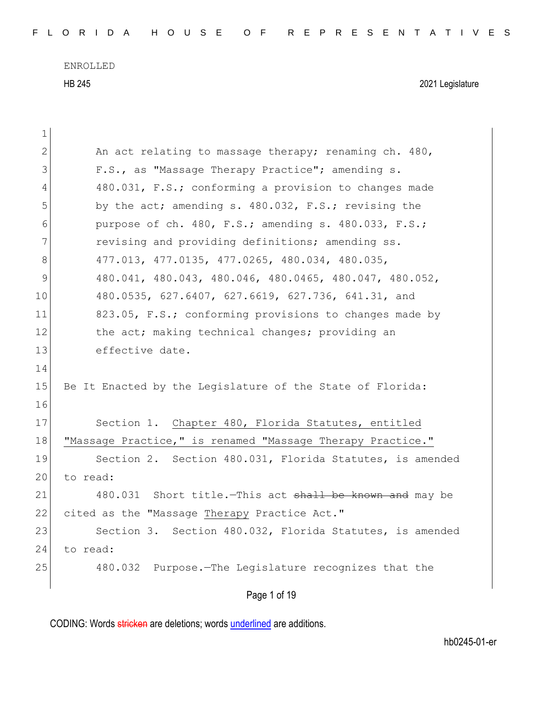| 1            |                                                            |
|--------------|------------------------------------------------------------|
| $\mathbf{2}$ | An act relating to massage therapy; renaming ch. 480,      |
| 3            | F.S., as "Massage Therapy Practice"; amending s.           |
| 4            | 480.031, F.S.; conforming a provision to changes made      |
| 5            | by the act; amending s. 480.032, F.S.; revising the        |
| 6            | purpose of ch. 480, F.S.; amending s. 480.033, F.S.;       |
| 7            | revising and providing definitions; amending ss.           |
| 8            | 477.013, 477.0135, 477.0265, 480.034, 480.035,             |
| 9            | 480.041, 480.043, 480.046, 480.0465, 480.047, 480.052,     |
| 10           | 480.0535, 627.6407, 627.6619, 627.736, 641.31, and         |
| 11           | 823.05, F.S.; conforming provisions to changes made by     |
| 12           | the act; making technical changes; providing an            |
| 13           | effective date.                                            |
| 14           |                                                            |
| 15           | Be It Enacted by the Legislature of the State of Florida:  |
| 16           |                                                            |
| 17           | Section 1. Chapter 480, Florida Statutes, entitled         |
| 18           | "Massage Practice," is renamed "Massage Therapy Practice." |
| 19           | Section 2. Section 480.031, Florida Statutes, is amended   |
| 20           | to read:                                                   |
| 21           | 480.031 Short title. This act shall be known and may be    |
| 22           | cited as the "Massage Therapy Practice Act."               |
| 23           | Section 3. Section 480.032, Florida Statutes, is amended   |
| 24           | to read:                                                   |
| 25           | 480.032 Purpose. The Legislature recognizes that the       |
|              | Page 1 of 19                                               |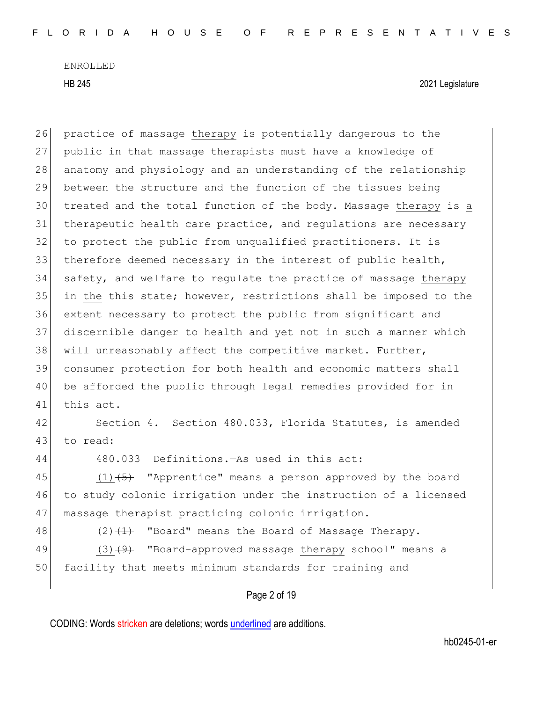HB 245 2021 Legislature

26 practice of massage therapy is potentially dangerous to the 27 public in that massage therapists must have a knowledge of 28 anatomy and physiology and an understanding of the relationship 29 between the structure and the function of the tissues being 30 treated and the total function of the body. Massage therapy is a 31 therapeutic health care practice, and regulations are necessary 32 to protect the public from unqualified practitioners. It is 33 therefore deemed necessary in the interest of public health, 34 safety, and welfare to regulate the practice of massage therapy 35 in the this state; however, restrictions shall be imposed to the 36 extent necessary to protect the public from significant and 37 discernible danger to health and yet not in such a manner which 38 will unreasonably affect the competitive market. Further, 39 consumer protection for both health and economic matters shall 40 be afforded the public through legal remedies provided for in 41 this act. 42 Section 4. Section 480.033, Florida Statutes, is amended 43 to read: 44 480.033 Definitions.—As used in this act: 45  $(1)$   $\overline{+5}$  "Apprentice" means a person approved by the board 46 to study colonic irrigation under the instruction of a licensed 47 massage therapist practicing colonic irrigation. 48 (2) $(1)$  "Board" means the Board of Massage Therapy. 49 (3)<del>(9)</del> "Board-approved massage therapy school" means a 50 facility that meets minimum standards for training and

Page 2 of 19

CODING: Words stricken are deletions; words underlined are additions.

hb0245-01-er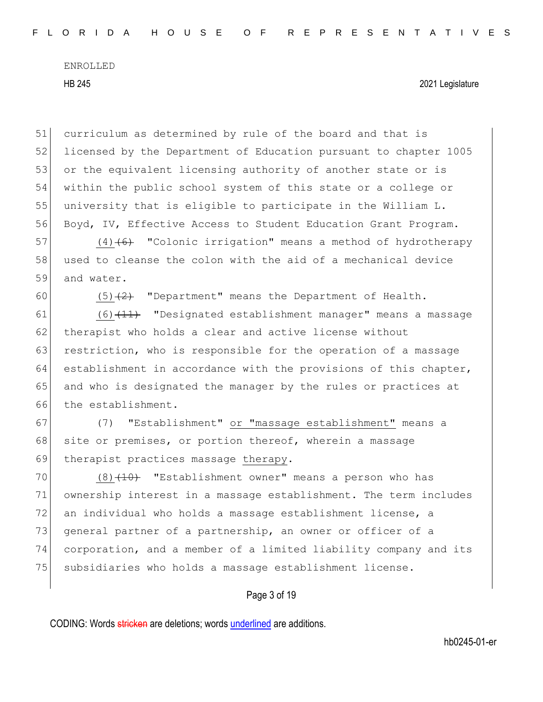51 curriculum as determined by rule of the board and that is 52 licensed by the Department of Education pursuant to chapter 1005 53 or the equivalent licensing authority of another state or is 54 within the public school system of this state or a college or 55 university that is eligible to participate in the William L. 56 Boyd, IV, Effective Access to Student Education Grant Program.

57 (4) $(4)$  (6) "Colonic irrigation" means a method of hydrotherapy 58 used to cleanse the colon with the aid of a mechanical device 59 and water.

60 (5) $\left(2\right)$  "Department" means the Department of Health.

61 (6) (11) "Designated establishment manager" means a massage 62 therapist who holds a clear and active license without 63 restriction, who is responsible for the operation of a massage 64 establishment in accordance with the provisions of this chapter, 65 and who is designated the manager by the rules or practices at 66 the establishment.

67 (7) "Establishment" or "massage establishment" means a 68 site or premises, or portion thereof, wherein a massage 69 therapist practices massage therapy.

70 (8)  $(10)$  "Establishment owner" means a person who has 71 ownership interest in a massage establishment. The term includes 72 an individual who holds a massage establishment license, a 73 general partner of a partnership, an owner or officer of a 74 corporation, and a member of a limited liability company and its 75 subsidiaries who holds a massage establishment license.

Page 3 of 19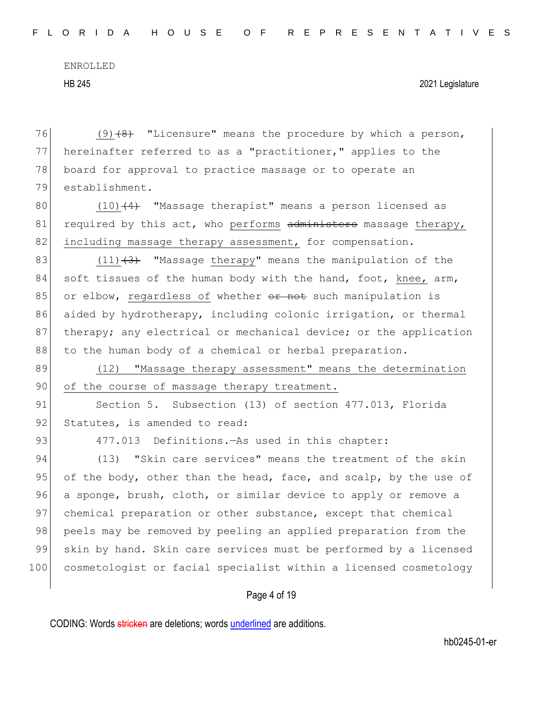76 (9) $(9)$   $(8)$  "Licensure" means the procedure by which a person, 77 hereinafter referred to as a "practitioner," applies to the 78 board for approval to practice massage or to operate an 79 establishment. 80  $(10)$   $(4)$  "Massage therapist" means a person licensed as 81 required by this act, who performs  $administers$  massage therapy, 82 including massage therapy assessment, for compensation. 83 (11) $(3)$  "Massage therapy" means the manipulation of the 84 soft tissues of the human body with the hand, foot, knee,  $arm$ , 85 or elbow, regardless of whether or not such manipulation is 86 aided by hydrotherapy, including colonic irrigation, or thermal 87 therapy; any electrical or mechanical device; or the application 88 to the human body of a chemical or herbal preparation. 89 (12) "Massage therapy assessment" means the determination 90 of the course of massage therapy treatment. 91 Section 5. Subsection (13) of section 477.013, Florida 92 Statutes, is amended to read: 93 477.013 Definitions.—As used in this chapter: 94 (13) "Skin care services" means the treatment of the skin 95 of the body, other than the head, face, and scalp, by the use of 96 a sponge, brush, cloth, or similar device to apply or remove a 97 chemical preparation or other substance, except that chemical 98 peels may be removed by peeling an applied preparation from the 99 skin by hand. Skin care services must be performed by a licensed 100 cosmetologist or facial specialist within a licensed cosmetology

# Page 4 of 19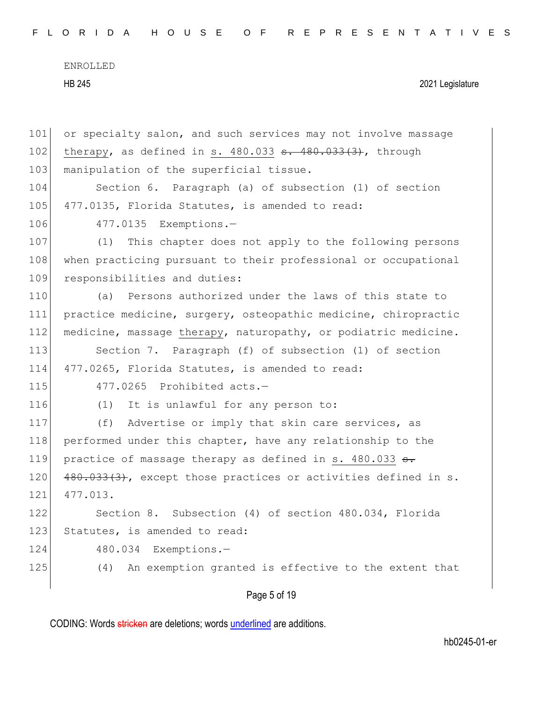F L O R I D A H O U S E O F R E P R E S E N T A T I V E S

ENROLLED HB 245 2021 Legislature

| 101 | or specialty salon, and such services may not involve massage  |
|-----|----------------------------------------------------------------|
| 102 | therapy, as defined in s. $480.033$ s. $480.033(3)$ , through  |
| 103 | manipulation of the superficial tissue.                        |
| 104 | Section 6. Paragraph (a) of subsection (1) of section          |
| 105 | 477.0135, Florida Statutes, is amended to read:                |
| 106 | 477.0135 Exemptions.-                                          |
| 107 | This chapter does not apply to the following persons<br>(1)    |
| 108 | when practicing pursuant to their professional or occupational |
| 109 | responsibilities and duties:                                   |
| 110 | Persons authorized under the laws of this state to<br>(a)      |
| 111 | practice medicine, surgery, osteopathic medicine, chiropractic |
| 112 | medicine, massage therapy, naturopathy, or podiatric medicine. |
| 113 | Section 7. Paragraph (f) of subsection (1) of section          |
| 114 | 477.0265, Florida Statutes, is amended to read:                |
| 115 | 477.0265 Prohibited acts.-                                     |
| 116 | (1)<br>It is unlawful for any person to:                       |
| 117 | Advertise or imply that skin care services, as<br>(f)          |
| 118 | performed under this chapter, have any relationship to the     |
| 119 | practice of massage therapy as defined in s. 480.033 s.        |
| 120 | 480.033(3), except those practices or activities defined in s. |
| 121 | 477.013.                                                       |
| 122 | Section 8. Subsection (4) of section 480.034, Florida          |
| 123 | Statutes, is amended to read:                                  |
| 124 | Exemptions.-<br>480.034                                        |
| 125 | An exemption granted is effective to the extent that<br>(4)    |
|     |                                                                |

Page 5 of 19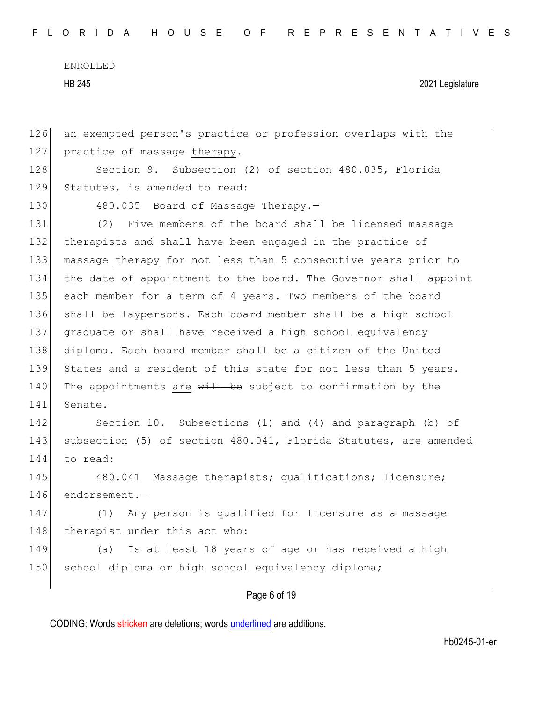| 147 | Any person is qualified for licensure as a massage<br>(1)        |
|-----|------------------------------------------------------------------|
| 146 | endorsement.-                                                    |
| 145 | 480.041 Massage therapists; qualifications; licensure;           |
| 144 | to read:                                                         |
| 143 | subsection (5) of section 480.041, Florida Statutes, are amended |
| 142 | Section 10. Subsections (1) and (4) and paragraph (b) of         |
| 141 | Senate.                                                          |
| 140 | The appointments are will be subject to confirmation by the      |
| 139 | States and a resident of this state for not less than 5 years.   |
| 138 | diploma. Each board member shall be a citizen of the United      |
| 137 | graduate or shall have received a high school equivalency        |
| 136 | shall be laypersons. Each board member shall be a high school    |
| 135 | each member for a term of 4 years. Two members of the board      |
| 134 | the date of appointment to the board. The Governor shall appoint |
| 133 | massage therapy for not less than 5 consecutive years prior to   |
| 132 | therapists and shall have been engaged in the practice of        |
| 131 | (2) Five members of the board shall be licensed massage          |
| 130 | 480.035 Board of Massage Therapy.-                               |
| 129 | Statutes, is amended to read:                                    |
| 128 | Section 9. Subsection (2) of section 480.035, Florida            |
| 127 | practice of massage therapy.                                     |
| 126 | an exempted person's practice or profession overlaps with the    |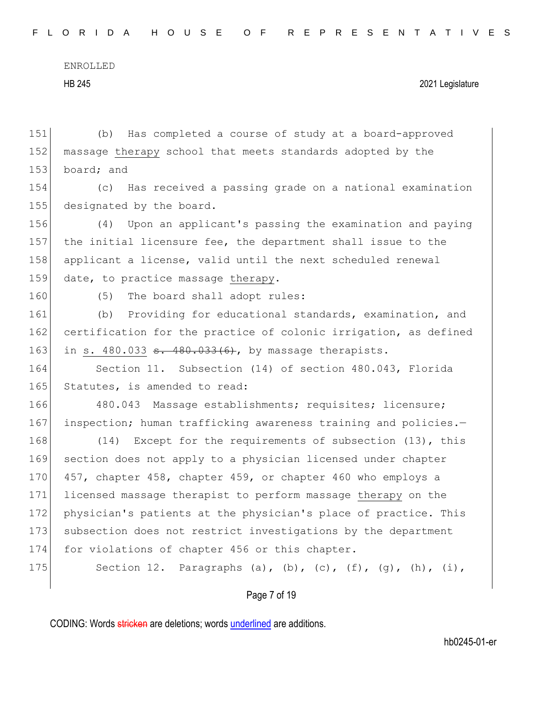151 (b) Has completed a course of study at a board-approved

ENROLLED HB 245 2021 Legislature

152 massage therapy school that meets standards adopted by the 153 board; and 154 (c) Has received a passing grade on a national examination 155 designated by the board. 156 (4) Upon an applicant's passing the examination and paying 157 the initial licensure fee, the department shall issue to the 158 applicant a license, valid until the next scheduled renewal 159 date, to practice massage therapy. 160 (5) The board shall adopt rules: 161 (b) Providing for educational standards, examination, and 162 certification for the practice of colonic irrigation, as defined 163 in s. 480.033 <del>s. 480.033(6)</del>, by massage therapists. 164 Section 11. Subsection (14) of section 480.043, Florida 165 Statutes, is amended to read: 166 480.043 Massage establishments; requisites; licensure; 167 inspection; human trafficking awareness training and policies.-168 (14) Except for the requirements of subsection (13), this 169 section does not apply to a physician licensed under chapter 170 457, chapter 458, chapter 459, or chapter 460 who employs a 171 licensed massage therapist to perform massage therapy on the 172 physician's patients at the physician's place of practice. This 173 subsection does not restrict investigations by the department 174 for violations of chapter 456 or this chapter. 175 Section 12. Paragraphs (a), (b), (c), (f), (q), (h), (i),

Page 7 of 19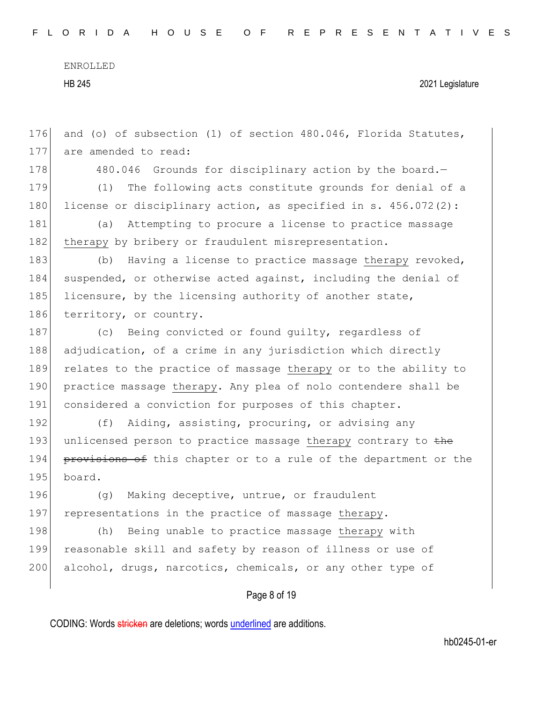HB 245 2021 Legislature

176 and (o) of subsection (1) of section 480.046, Florida Statutes, 177 are amended to read:

178 480.046 Grounds for disciplinary action by the board. 179 (1) The following acts constitute grounds for denial of a 180 license or disciplinary action, as specified in s.  $456.072(2)$ :

181 (a) Attempting to procure a license to practice massage 182 therapy by bribery or fraudulent misrepresentation.

183 (b) Having a license to practice massage therapy revoked, 184 suspended, or otherwise acted against, including the denial of 185 licensure, by the licensing authority of another state, 186 territory, or country.

187 (c) Being convicted or found guilty, regardless of 188 adjudication, of a crime in any jurisdiction which directly 189 relates to the practice of massage therapy or to the ability to 190 practice massage therapy. Any plea of nolo contendere shall be 191 considered a conviction for purposes of this chapter.

192 (f) Aiding, assisting, procuring, or advising any 193 unlicensed person to practice massage therapy contrary to the 194 provisions of this chapter or to a rule of the department or the 195 board.

196 (g) Making deceptive, untrue, or fraudulent 197 representations in the practice of massage therapy.

198 (h) Being unable to practice massage therapy with 199 reasonable skill and safety by reason of illness or use of 200 alcohol, drugs, narcotics, chemicals, or any other type of

Page 8 of 19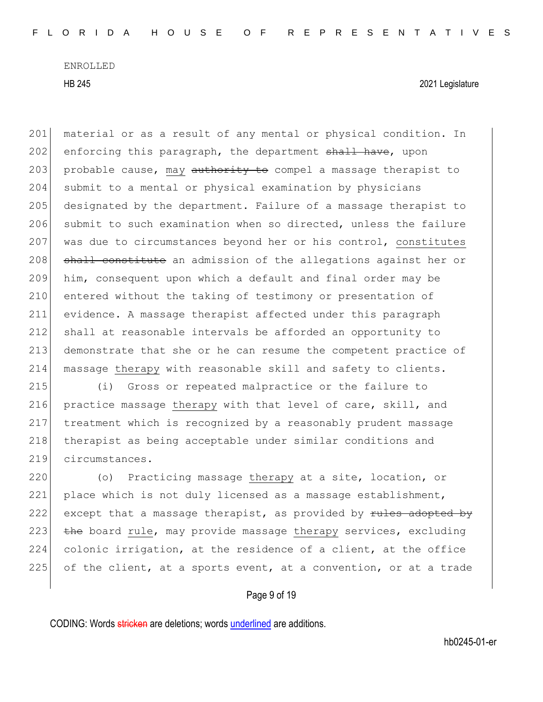HB 245 2021 Legislature

201 | material or as a result of any mental or physical condition. In 202 enforcing this paragraph, the department shall have, upon 203 probable cause, may authority to compel a massage therapist to 204 submit to a mental or physical examination by physicians 205 designated by the department. Failure of a massage therapist to 206 submit to such examination when so directed, unless the failure 207 was due to circumstances beyond her or his control, constitutes 208 shall constitute an admission of the allegations against her or 209 him, consequent upon which a default and final order may be 210 entered without the taking of testimony or presentation of 211 evidence. A massage therapist affected under this paragraph 212 shall at reasonable intervals be afforded an opportunity to 213 demonstrate that she or he can resume the competent practice of 214 massage therapy with reasonable skill and safety to clients.

215 (i) Gross or repeated malpractice or the failure to 216 practice massage therapy with that level of care, skill, and 217 treatment which is recognized by a reasonably prudent massage 218 therapist as being acceptable under similar conditions and 219 circumstances.

220 (o) Practicing massage therapy at a site, location, or 221 place which is not duly licensed as a massage establishment, 222 except that a massage therapist, as provided by  $r$ ules adopted by 223  $\overline{the}$  board rule, may provide massage therapy services, excluding 224 colonic irrigation, at the residence of a client, at the office 225 of the client, at a sports event, at a convention, or at a trade

Page 9 of 19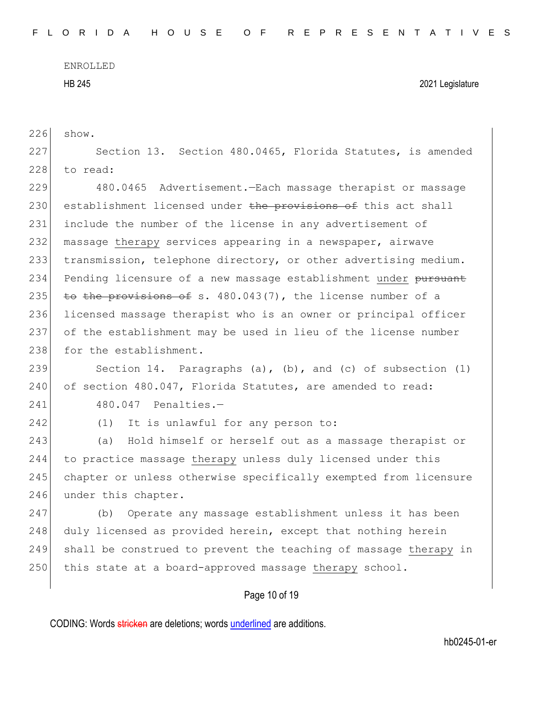| 226 | show.                                                            |
|-----|------------------------------------------------------------------|
| 227 | Section 13. Section 480.0465, Florida Statutes, is amended       |
| 228 | to read:                                                         |
| 229 | 480.0465 Advertisement. - Each massage therapist or massage      |
| 230 | establishment licensed under the provisions of this act shall    |
| 231 | include the number of the license in any advertisement of        |
| 232 | massage therapy services appearing in a newspaper, airwave       |
| 233 | transmission, telephone directory, or other advertising medium.  |
| 234 | Pending licensure of a new massage establishment under pursuant  |
| 235 | to the provisions of s. 480.043(7), the license number of a      |
| 236 | licensed massage therapist who is an owner or principal officer  |
| 237 | of the establishment may be used in lieu of the license number   |
| 238 | for the establishment.                                           |
| 239 | Section 14. Paragraphs (a), (b), and (c) of subsection $(1)$     |
| 240 | of section 480.047, Florida Statutes, are amended to read:       |
| 241 | 480.047 Penalties.-                                              |
| 242 | (1)<br>It is unlawful for any person to:                         |
| 243 | Hold himself or herself out as a massage therapist or<br>(a)     |
| 244 | to practice massage therapy unless duly licensed under this      |
| 245 | chapter or unless otherwise specifically exempted from licensure |
| 246 | under this chapter.                                              |
| 247 | Operate any massage establishment unless it has been<br>(b)      |
| 248 | duly licensed as provided herein, except that nothing herein     |
| 249 | shall be construed to prevent the teaching of massage therapy in |
| 250 | this state at a board-approved massage therapy school.           |
|     | Page 10 of 19                                                    |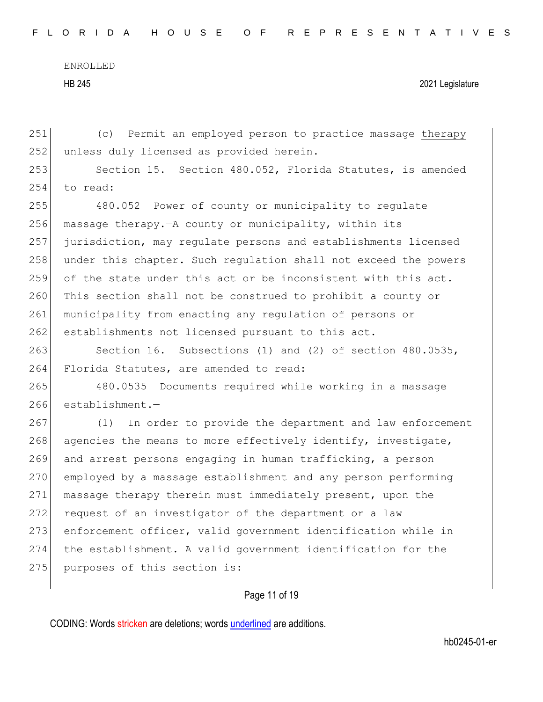251 (c) Permit an employed person to practice massage therapy 252 unless duly licensed as provided herein. 253 Section 15. Section 480.052, Florida Statutes, is amended 254 to read: 255 480.052 Power of county or municipality to regulate 256 massage therapy.  $-A$  county or municipality, within its 257 jurisdiction, may regulate persons and establishments licensed 258 under this chapter. Such requlation shall not exceed the powers 259 of the state under this act or be inconsistent with this act. 260 This section shall not be construed to prohibit a county or 261 municipality from enacting any regulation of persons or 262 establishments not licensed pursuant to this act. 263 Section 16. Subsections (1) and (2) of section 480.0535, 264 Florida Statutes, are amended to read: 265 480.0535 Documents required while working in a massage 266 establishment.— 267 (1) In order to provide the department and law enforcement 268 agencies the means to more effectively identify, investigate, 269 and arrest persons engaging in human trafficking, a person 270 employed by a massage establishment and any person performing 271 massage therapy therein must immediately present, upon the 272 request of an investigator of the department or a law 273 enforcement officer, valid government identification while in 274 the establishment. A valid government identification for the 275 purposes of this section is:

# Page 11 of 19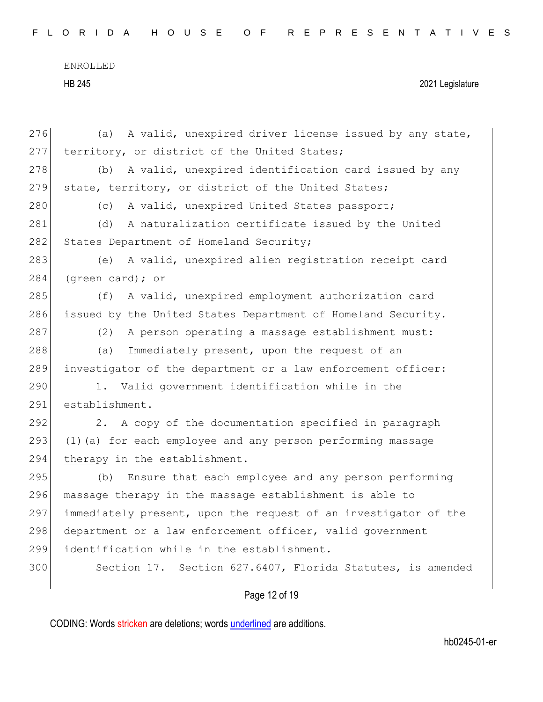|  |  |  |  |  |  | FLORIDA HOUSE OF REPRESENTATIVES |  |  |  |  |  |  |  |  |  |  |  |
|--|--|--|--|--|--|----------------------------------|--|--|--|--|--|--|--|--|--|--|--|
|  |  |  |  |  |  |                                  |  |  |  |  |  |  |  |  |  |  |  |

|     | Page 12 of 19                                                   |
|-----|-----------------------------------------------------------------|
| 300 | Section 17. Section 627.6407, Florida Statutes, is amended      |
| 299 | identification while in the establishment.                      |
| 298 | department or a law enforcement officer, valid government       |
| 297 | immediately present, upon the request of an investigator of the |
| 296 | massage therapy in the massage establishment is able to         |
| 295 | Ensure that each employee and any person performing<br>(b)      |
| 294 | therapy in the establishment.                                   |
| 293 | (1) (a) for each employee and any person performing massage     |
| 292 | A copy of the documentation specified in paragraph<br>2.        |
| 291 | establishment.                                                  |
| 290 | 1. Valid government identification while in the                 |
| 289 | investigator of the department or a law enforcement officer:    |
| 288 | Immediately present, upon the request of an<br>(a)              |
| 287 | (2)<br>A person operating a massage establishment must:         |
| 286 | issued by the United States Department of Homeland Security.    |
| 285 | A valid, unexpired employment authorization card<br>(f)         |
| 284 | (green card); or                                                |
| 283 | A valid, unexpired alien registration receipt card<br>(e)       |
| 282 | States Department of Homeland Security;                         |
| 281 | A naturalization certificate issued by the United<br>(d)        |
| 280 | A valid, unexpired United States passport;<br>(C)               |
| 279 | state, territory, or district of the United States;             |
| 278 | A valid, unexpired identification card issued by any<br>(b)     |
| 277 | territory, or district of the United States;                    |
| 276 | (a) A valid, unexpired driver license issued by any state,      |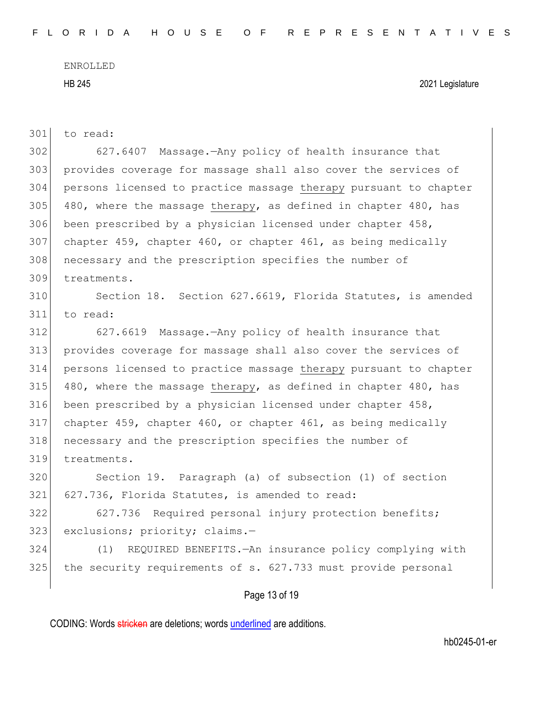| 301 | to read:                                                         |
|-----|------------------------------------------------------------------|
| 302 | 627.6407 Massage. - Any policy of health insurance that          |
| 303 | provides coverage for massage shall also cover the services of   |
| 304 | persons licensed to practice massage therapy pursuant to chapter |
| 305 | 480, where the massage therapy, as defined in chapter 480, has   |
| 306 | been prescribed by a physician licensed under chapter 458,       |
| 307 | chapter 459, chapter 460, or chapter 461, as being medically     |
| 308 | necessary and the prescription specifies the number of           |
| 309 | treatments.                                                      |
| 310 | Section 18. Section 627.6619, Florida Statutes, is amended       |
| 311 | to read:                                                         |
| 312 | 627.6619 Massage. - Any policy of health insurance that          |
| 313 | provides coverage for massage shall also cover the services of   |
| 314 | persons licensed to practice massage therapy pursuant to chapter |
| 315 | 480, where the massage therapy, as defined in chapter 480, has   |
| 316 | been prescribed by a physician licensed under chapter 458,       |
| 317 | chapter 459, chapter 460, or chapter 461, as being medically     |
| 318 | necessary and the prescription specifies the number of           |
| 319 | treatments.                                                      |
| 320 | Section 19. Paragraph (a) of subsection (1) of section           |
| 321 | 627.736, Florida Statutes, is amended to read:                   |
| 322 | 627.736 Required personal injury protection benefits;            |
| 323 | exclusions; priority; claims.-                                   |
| 324 | REQUIRED BENEFITS. - An insurance policy complying with<br>(1)   |
| 325 | the security requirements of s. 627.733 must provide personal    |
|     |                                                                  |

Page 13 of 19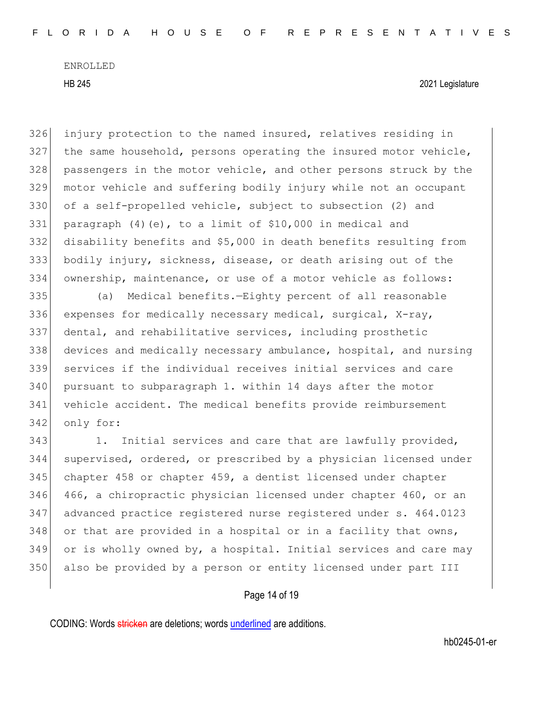HB 245 2021 Legislature

 injury protection to the named insured, relatives residing in the same household, persons operating the insured motor vehicle, passengers in the motor vehicle, and other persons struck by the motor vehicle and suffering bodily injury while not an occupant of a self-propelled vehicle, subject to subsection (2) and paragraph (4)(e), to a limit of \$10,000 in medical and disability benefits and \$5,000 in death benefits resulting from bodily injury, sickness, disease, or death arising out of the ownership, maintenance, or use of a motor vehicle as follows:

 (a) Medical benefits.—Eighty percent of all reasonable expenses for medically necessary medical, surgical, X-ray, dental, and rehabilitative services, including prosthetic devices and medically necessary ambulance, hospital, and nursing services if the individual receives initial services and care pursuant to subparagraph 1. within 14 days after the motor vehicle accident. The medical benefits provide reimbursement only for:

343 1. Initial services and care that are lawfully provided, supervised, ordered, or prescribed by a physician licensed under chapter 458 or chapter 459, a dentist licensed under chapter 466, a chiropractic physician licensed under chapter 460, or an advanced practice registered nurse registered under s. 464.0123 or that are provided in a hospital or in a facility that owns, or is wholly owned by, a hospital. Initial services and care may also be provided by a person or entity licensed under part III

### Page 14 of 19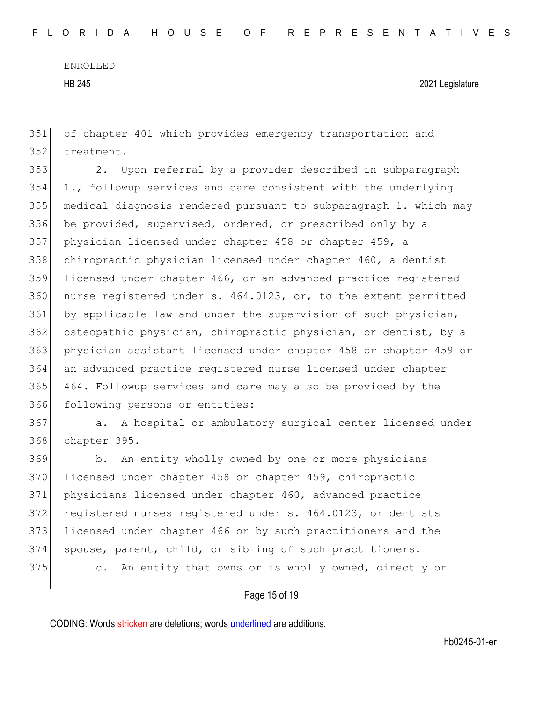351 of chapter 401 which provides emergency transportation and 352 treatment.

 2. Upon referral by a provider described in subparagraph 1., followup services and care consistent with the underlying medical diagnosis rendered pursuant to subparagraph 1. which may 356 be provided, supervised, ordered, or prescribed only by a physician licensed under chapter 458 or chapter 459, a chiropractic physician licensed under chapter 460, a dentist licensed under chapter 466, or an advanced practice registered 360 nurse registered under s. 464.0123, or, to the extent permitted 361 by applicable law and under the supervision of such physician, 362 osteopathic physician, chiropractic physician, or dentist, by a physician assistant licensed under chapter 458 or chapter 459 or an advanced practice registered nurse licensed under chapter 464. Followup services and care may also be provided by the following persons or entities:

367 a. A hospital or ambulatory surgical center licensed under 368 chapter 395.

369 b. An entity wholly owned by one or more physicians 370 licensed under chapter 458 or chapter 459, chiropractic 371 physicians licensed under chapter 460, advanced practice 372 registered nurses registered under s. 464.0123, or dentists 373 licensed under chapter 466 or by such practitioners and the 374 spouse, parent, child, or sibling of such practitioners. 375 c. An entity that owns or is wholly owned, directly or

# Page 15 of 19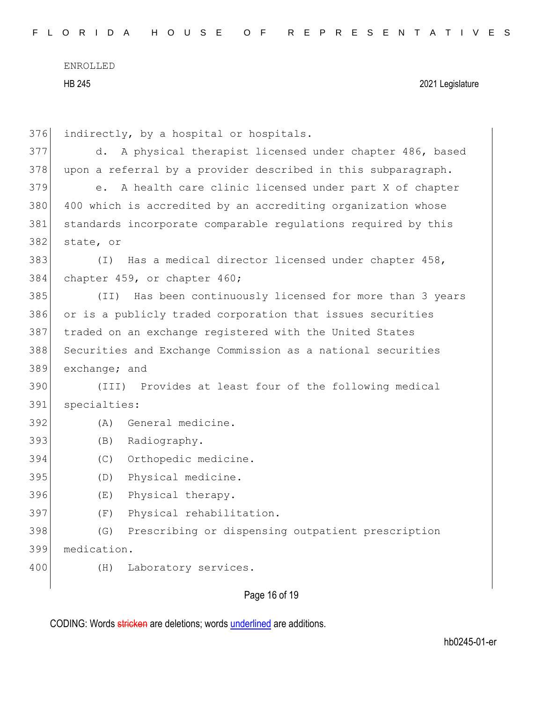| 376 | indirectly, by a hospital or hospitals.                                 |  |  |  |  |  |  |  |  |  |
|-----|-------------------------------------------------------------------------|--|--|--|--|--|--|--|--|--|
| 377 | A physical therapist licensed under chapter 486, based<br>d.            |  |  |  |  |  |  |  |  |  |
| 378 | upon a referral by a provider described in this subparagraph.           |  |  |  |  |  |  |  |  |  |
| 379 | A health care clinic licensed under part X of chapter<br>e <sub>1</sub> |  |  |  |  |  |  |  |  |  |
| 380 | 400 which is accredited by an accrediting organization whose            |  |  |  |  |  |  |  |  |  |
| 381 | standards incorporate comparable regulations required by this           |  |  |  |  |  |  |  |  |  |
| 382 | state, or                                                               |  |  |  |  |  |  |  |  |  |
| 383 | Has a medical director licensed under chapter 458,<br>(T)               |  |  |  |  |  |  |  |  |  |
| 384 | chapter 459, or chapter 460;                                            |  |  |  |  |  |  |  |  |  |
| 385 | Has been continuously licensed for more than 3 years<br>(TI)            |  |  |  |  |  |  |  |  |  |
| 386 | or is a publicly traded corporation that issues securities              |  |  |  |  |  |  |  |  |  |
| 387 | traded on an exchange registered with the United States                 |  |  |  |  |  |  |  |  |  |
| 388 | Securities and Exchange Commission as a national securities             |  |  |  |  |  |  |  |  |  |
| 389 | exchange; and                                                           |  |  |  |  |  |  |  |  |  |
| 390 | (III) Provides at least four of the following medical                   |  |  |  |  |  |  |  |  |  |
| 391 | specialties:                                                            |  |  |  |  |  |  |  |  |  |
| 392 | General medicine.<br>(A)                                                |  |  |  |  |  |  |  |  |  |
| 393 | Radiography.<br>(B)                                                     |  |  |  |  |  |  |  |  |  |
| 394 | Orthopedic medicine.<br>(C)                                             |  |  |  |  |  |  |  |  |  |
| 395 | Physical medicine.<br>(D)                                               |  |  |  |  |  |  |  |  |  |
| 396 | Physical therapy.<br>(E)                                                |  |  |  |  |  |  |  |  |  |
| 397 | Physical rehabilitation.<br>(F)                                         |  |  |  |  |  |  |  |  |  |
| 398 | Prescribing or dispensing outpatient prescription<br>(G)                |  |  |  |  |  |  |  |  |  |
| 399 | medication.                                                             |  |  |  |  |  |  |  |  |  |
| 400 | Laboratory services.<br>(H)                                             |  |  |  |  |  |  |  |  |  |
|     |                                                                         |  |  |  |  |  |  |  |  |  |

Page 16 of 19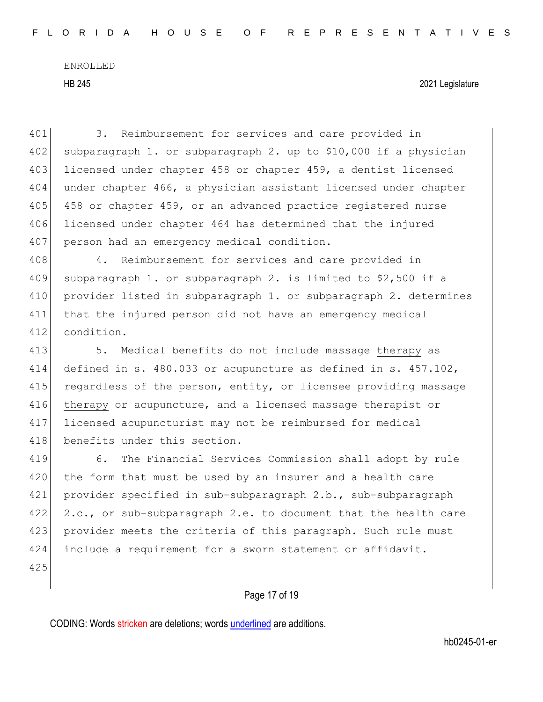HB 245 2021 Legislature

401 3. Reimbursement for services and care provided in  $402$  subparagraph 1. or subparagraph 2. up to \$10,000 if a physician 403 licensed under chapter 458 or chapter 459, a dentist licensed 404 under chapter 466, a physician assistant licensed under chapter 405 458 or chapter 459, or an advanced practice registered nurse 406 licensed under chapter 464 has determined that the injured 407 person had an emergency medical condition. 408 4. Reimbursement for services and care provided in 409 subparagraph 1. or subparagraph 2. is limited to  $$2,500$  if a 410 provider listed in subparagraph 1. or subparagraph 2. determines 411 that the injured person did not have an emergency medical 412 condition. 413 5. Medical benefits do not include massage therapy as 414 defined in s. 480.033 or acupuncture as defined in s. 457.102, 415 regardless of the person, entity, or licensee providing massage 416 therapy or acupuncture, and a licensed massage therapist or 417 licensed acupuncturist may not be reimbursed for medical 418 benefits under this section. 419 6. The Financial Services Commission shall adopt by rule

420 the form that must be used by an insurer and a health care 421 provider specified in sub-subparagraph 2.b., sub-subparagraph 422 2.c., or sub-subparagraph 2.e. to document that the health care 423 provider meets the criteria of this paragraph. Such rule must 424 include a requirement for a sworn statement or affidavit.

425

### Page 17 of 19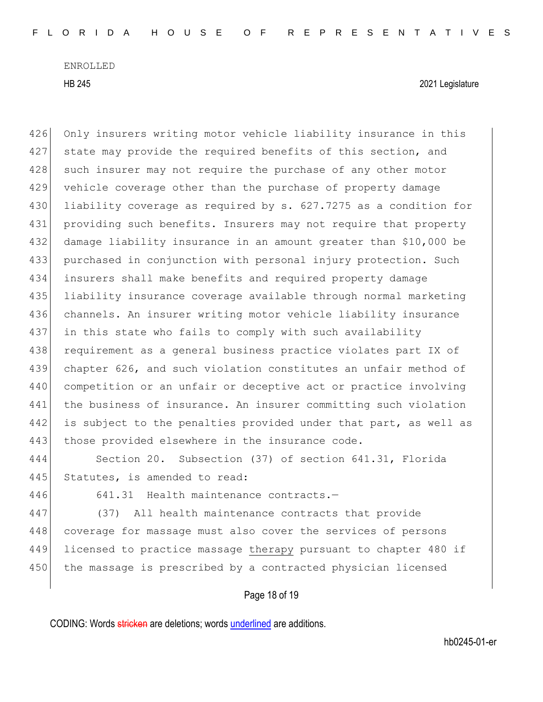HB 245 2021 Legislature

426 Only insurers writing motor vehicle liability insurance in this 427 state may provide the required benefits of this section, and 428 such insurer may not require the purchase of any other motor 429 vehicle coverage other than the purchase of property damage 430 liability coverage as required by s. 627.7275 as a condition for 431 providing such benefits. Insurers may not require that property 432 damage liability insurance in an amount greater than \$10,000 be 433 purchased in conjunction with personal injury protection. Such 434 insurers shall make benefits and required property damage 435 liability insurance coverage available through normal marketing 436 channels. An insurer writing motor vehicle liability insurance 437 in this state who fails to comply with such availability 438 requirement as a general business practice violates part IX of 439 chapter 626, and such violation constitutes an unfair method of 440 competition or an unfair or deceptive act or practice involving 441 | the business of insurance. An insurer committing such violation 442 is subject to the penalties provided under that part, as well as 443 those provided elsewhere in the insurance code.

444 Section 20. Subsection (37) of section 641.31, Florida 445 Statutes, is amended to read:

446 641.31 Health maintenance contracts.—

447 (37) All health maintenance contracts that provide 448 coverage for massage must also cover the services of persons 449 licensed to practice massage therapy pursuant to chapter 480 if 450 the massage is prescribed by a contracted physician licensed

# Page 18 of 19